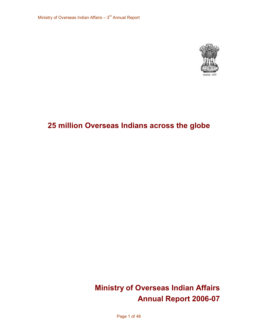

# **25 million Overseas Indians across the globe**

# **Ministry of Overseas Indian Affairs Annual Report 2006-07**

Page 1 of 48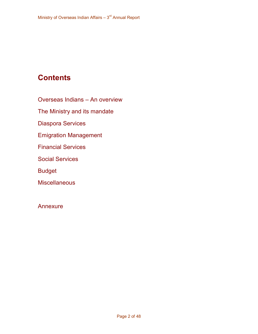# **Contents**

Overseas Indians – An overview

The Ministry and its mandate

Diaspora Services

Emigration Management

Financial Services

Social Services

Budget

**Miscellaneous** 

Annexure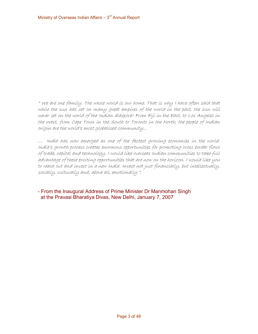" We are one family. The whole world is our home. That is why I have often said that while the sun has set on many great empires of the world in the past, the sun will never set on the world of the Indian diaspora! From Fiji in the East, to Los Angeles in the West, from Cape Town in the South to Toronto in the North, the people of Indian orígín are the world's most globalísed community…<br>… India has now emerged as one of the fastest growing economies in the world.

India's growth process creates enormous opportunities for promoting cross border flows of trade, capital and technology. I would like overseas Indian communities to take full advantage of these exciting opportunities that are now on the horizon. I would like you to reach out and invest in <sup>a</sup> new India. Invest not just financially, but intellectually, socially, culturally and, above all, emotionally ".

 From the Inaugural Address of Prime Minister Dr Manmohan Singh at the Pravasi Bharatiya Divas, New Delhi, January 7, 2007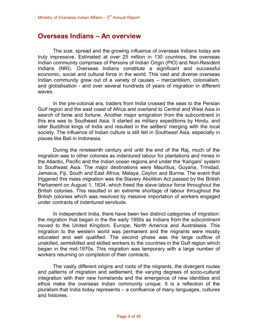# **Overseas Indians – An overview**

The size, spread and the growing influence of overseas Indians today are truly impressive. Estimated at over 25 million in 130 countries, the overseas Indian community comprises of Persons of Indian Origin (PIO) and Non-Resident Indians (NRI). Overseas Indians constitute a significant and successful economic, social and cultural force in the world. This vast and diverse overseas Indian community grew out of a variety of causes – mercantilism, colonialism, and globalisation - and over several hundreds of years of migration in different waves.

In the precolonial era, traders from India crossed the seas to the Persian Gulf region and the east coast of Africa and overland to Central and West Asia in search of fame and fortune. Another major emigration from the subcontinent in this era was to Southeast Asia. It started as military expeditions by [Hindu](http://en.wikipedia.org/wiki/Hindu), and later [Buddhist](http://en.wikipedia.org/wiki/Buddhist) kings of India and resulted in the settlers' merging with the local society. The influence of Indian culture is still felt in Southeast Asia, especially in places like [Bali](http://en.wikipedia.org/wiki/Bali) in [Indonesia](http://en.wikipedia.org/wiki/Indonesia).

During the nineteenth century and until the end of the [Raj](http://en.wikipedia.org/wiki/British_Raj), much of the migration was to other colonies as indentured labour for plantations and mines in the Atlantic, Pacific and the Indian ocean regions and under the 'Kangani' system to Southeast Asia. The major destinations were [Mauritius](http://en.wikipedia.org/wiki/Mauritius), Guyana, [Trinidad](http://en.wikipedia.org/wiki/Trinidad), Jamaica, [Fiji](http://en.wikipedia.org/wiki/Fiji), South and [East Africa](http://en.wikipedia.org/wiki/East_Africa), Malaya, Ceylon and Burma. The event that triggered this mass migration was the Slavery [Abolition Act](http://en.wikipedia.org/wiki/Slavery_Abolition_Act) passed by the British Parliament on August 1, 1834, which freed the slave labour force throughout the British colonies. This resulted in an extreme shortage of labour throughout the British colonies which was resolved by massive importation of workers engaged under contracts of indentured servitude.

In independent India, there have been two distinct categories of migration: the migration that began in the the early 1950s as Indians from the subcontinent moved to the United Kingdom, Europe, North America and Australasia. This migration to the western world was permanent and the migrants were mostly educated and well qualified. The second phase was the large outflow of unskilled, semiskilled and skilled workers to the countries in the Gulf region which began in the mid-1970s. This migration was temporary with a large number of workers returning on completion of their contracts.

The vastly different origins and roots of the migrants, the divergent routes and patterns of migration and settlement, the varying degrees of socio-cultural integration with their new homelands and the emergence of new identities and ethos make the overseas Indian community unique. It is a reflection of the pluralism that India today represents – a confluence of many languages, cultures and histories.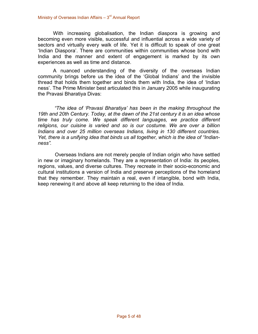With increasing globalisation, the Indian diaspora is growing and becoming even more visible, successful and influential across a wide variety of sectors and virtually every walk of life. Yet it is difficult to speak of one great 'Indian Diaspora'. There are communities within communities whose bond with India and the manner and extent of engagement is marked by its own experiences as well as time and distance.

A nuanced understanding of the diversity of the overseas Indian community brings before us the idea of the 'Global Indians' and the invisible thread that holds them together and binds them with India, the idea of 'Indian ness'. The Prime Minister best articulated this in January 2005 while inaugurating the Pravasi Bharatiya Divas:

*"The idea of 'Pravasi Bharatiya' has been in the making throughout the 19th and 20th Century. Today, at the dawn of the 21st century it is an idea whose time has truly come. We speak different languages, we practice different religions, our cuisine is varied and so is our costume. We are over a billion Indians and over 25 million overseas Indians, living in 130 different countries. Yet, there is a unifying idea that binds us all together, which is the idea of "Indian ness".*

Overseas Indians are not merely people of Indian origin who have settled in new orimaginary homelands. They are a representation of India: its peoples, regions, values, and diverse cultures. They recreate in their socio-economic and cultural institutions a version of India and preserve perceptions of the homeland that they remember. They maintain a real, even if intangible, bond with India, keep renewing it and above all keep returning to the idea of India.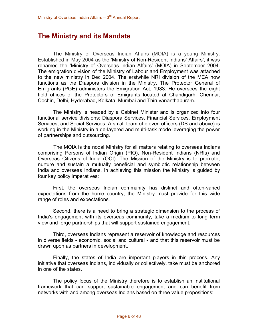# **The Ministry and its Mandate**

The Ministry of Overseas Indian Affairs (MOIA) is a young Ministry. Established in May 2004 as the 'Ministry of Non-Resident Indians' Affairs', it was renamed the 'Ministry of Overseas Indian Affairs' (MOIA) in September 2004. The emigration division of the Ministry of Labour and Employment was attached to the new ministry in Dec 2004. The erstwhile NRI division of the MEA now functions as the Diaspora division in the Ministry. The Protector General of Emigrants (PGE) administers the Emigration Act, 1983. He oversees the eight field offices of the Protectors of Emigrants located at Chandigarh, Chennai, Cochin, Delhi, Hyderabad, Kolkata, Mumbai and Thiruvananthapuram.

The Ministry is headed by a Cabinet Minister and is organized into four functional service divisions: Diaspora Services, Financial Services, Employment Services, and Social Services. A small team of eleven officers (DS and above) is working in the Ministry in a de-layered and multi-task mode leveraging the power of partnerships and outsourcing.

The MOIA is the nodal Ministry for all matters relating to overseas Indians comprising Persons of Indian Origin (PIO), Non-Resident Indians (NRIs) and Overseas Citizens of India (OCI). The Mission of the Ministry is to promote, nurture and sustain a mutually beneficial and symbiotic relationship between India and overseas Indians. In achieving this mission the Ministry is guided by four key policy imperatives:

First, the overseas Indian community has distinct and often-varied expectations from the home country, the Ministry must provide for this wide range of roles and expectations.

Second, there is a need to bring a strategic dimension to the process of India's engagement with its overseas community, take a medium to long term view and forge partnerships that will support sustained engagement.

Third, overseas Indians represent a reservoir of knowledge and resources in diverse fields - economic, social and cultural - and that this reservoir must be drawn upon as partners in development.

Finally, the states of India are important players in this process. Any initiative that overseas Indians, individually or collectively, take must be anchored in one of the states.

The policy focus of the Ministry therefore is to establish an institutional framework that can support sustainable engagement and can benefit from networks with and among overseas Indians based on three value propositions: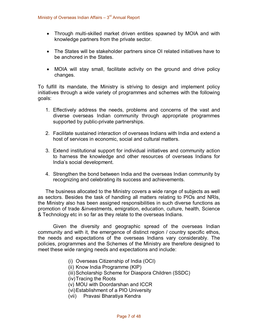- Through multi-skilled market driven entities spawned by MOIA and with knowledge partners from the private sector.
- · The States will be stakeholder partners since OI related initiatives have to be anchored in the States.
- MOIA will stay small, facilitate activity on the ground and drive policy changes.

To fulfill its mandate, the Ministry is striving to design and implement policy initiatives through a wide variety of programmes and schemes with the following goals:

- 1. Effectively address the needs, problems and concerns of the vast and diverse overseas Indian community through appropriate programmes supported by public-private partnerships.
- 2. Facilitate sustained interaction of overseas Indians with India and extend a host of services in economic, social and cultural matters.
- 3. Extend institutional support for individual initiatives and community action to harness the knowledge and other resources of overseas Indians for India's social development.
- 4. Strengthen the bond between India and the overseas Indian community by recognizing and celebrating its success and achievements.

The business allocated to the Ministry covers a wide range of subjects as well as sectors. Besides the task of handling all matters relating to PIOs and NRIs, the Ministry also has been assigned responsibilities in such diverse functions as promotion of trade &investments, emigration, education, culture, health, Science & Technology etc in so far as they relate to the overseas Indians.

Given the diversity and geographic spread of the overseas Indian community and with it, the emergence of distinct region / country specific ethos, the needs and expectations of the overseas Indians vary considerably. The policies, programmes and the Schemes of the Ministry are therefore designed to meet these wide ranging needs and expectations and include:

- (i) Overseas Citizenship of India (OCI)
- (ii) Know India Programme (KIP)
- (iii) Scholarship Scheme for Diaspora Children (SSDC)
- (iv)Tracing the Roots
- (v) MOU with Doordarshan and ICCR
- (vi)Establishment of a PIO University
- (vii) Pravasi Bharatiya Kendra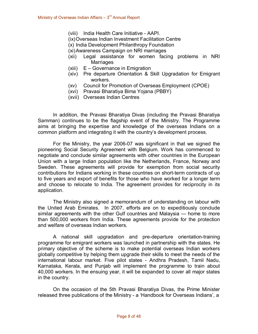- (viii) India Health Care Initiative AAPI.
- (ix)Overseas Indian Investment Facilitation Centre
- (x) India Development Philanthropy Foundation
- (xi)Awareness Campaign on NRI marriages
- (xii) Legal assistance for women facing problems in NRI **Marriages**
- (xiii) E Governance in Emigration
- (xiv) Pre departure Orientation & Skill Upgradation for Emigrant workers.
- (xv) Council for Promotion of Overseas Employment (CPOE)
- (xvi) Pravasi Bharatiya Bima Yojana (PBBY)
- (xvii) Overseas Indian Centres

In addition, the Pravasi Bharatiya Divas (including the Pravasi Bharatiya Samman) continues to be the flagship event of the Ministry. The Programme aims at bringing the expertise and knowledge of the overseas Indians on a common platform and integrating it with the country's development process.

For the Ministry, the year 2006-07 was significant in that we signed the pioneering Social Security Agreement with Belgium. Work has commenced to negotiate and conclude similar agreements with other countries in the European Union with a large Indian population like the Netherlands, France, Norway and Sweden. These agreements will provide for exemption from social security contributions for Indians working in these countries on short-term contracts of up to five years and export of benefits for those who have worked for a longer term and choose to relocate to India. The agreement provides for reciprocity in its application.

The Ministry also signed a memorandum of understanding on labour with the United Arab Emirates. In 2007, efforts are on to expeditiously conclude similar agreements with the other Gulf countries and Malaysia — home to more than 500,000 workers from India. These agreements provide for the protection and welfare of overseas Indian workers.

A national skill upgradation and pre-departure orientation-training programme for emigrant workers was launched in partnership with the states. He primary objective of the scheme is to make potential overseas Indian workers globally competitive by helping them upgrade their skills to meet the needs of the international labour market. Five pilot states Andhra Pradesh, Tamil Nadu, Karnataka, Kerala, and Punjab will implement the programme to train about 40,000 workers. In the ensuing year, it will be expanded to cover all major states in the country.

On the occasion of the 5th Pravasi Bharatiya Divas, the Prime Minister released three publications of the Ministry - a 'Handbook for Overseas Indians', a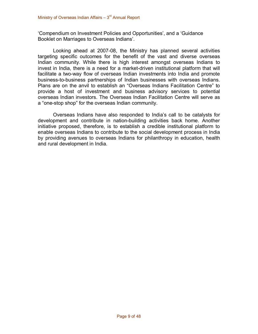'Compendium on Investment Policies and Opportunities', and a 'Guidance Booklet on Marriages to Overseas Indians'.

Looking ahead at 2007-08, the Ministry has planned several activities targeting specific outcomes for the benefit of the vast and diverse overseas Indian community. While there is high interest amongst overseas Indians to invest in India, there is a need for a market-driven institutional platform that will facilitate a two-way flow of overseas Indian investments into India and promote business-to-business partnerships of Indian businesses with overseas Indians. Plans are on the anvil to establish an "Overseas Indians Facilitation Centre" to provide a host of investment and business advisory services to potential overseas Indian investors. The Overseas Indian Facilitation Centre will serve as a "one-stop shop" for the overseas Indian community.

Overseas Indians have also responded to India's call to be catalysts for development and contribute in nation-building activities back home. Another initiative proposed, therefore, is to establish a credible institutional platform to enable overseas Indians to contribute to the social development process in India by providing avenues to overseas Indians for philanthropy in education, health and rural development in India.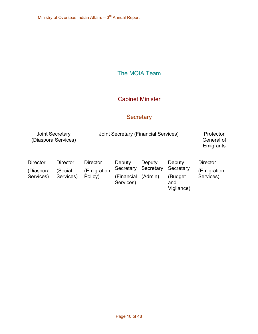# The MOIA Team

### Cabinet Minister

# **Secretary**

| <b>Joint Secretary</b><br>(Diaspora Services) |                                  | Joint Secretary (Financial Services)     | Protector<br>General of<br>Emigrants           |                                |                                                     |                                             |
|-----------------------------------------------|----------------------------------|------------------------------------------|------------------------------------------------|--------------------------------|-----------------------------------------------------|---------------------------------------------|
| <b>Director</b><br>(Diaspora<br>Services)     | Director<br>(Social<br>Services) | Director<br><b>Emigration</b><br>Policy) | Deputy<br>Secretary<br>(Financial<br>Services) | Deputy<br>Secretary<br>(Admin) | Deputy<br>Secretary<br>(Budget<br>and<br>Vigilance) | <b>Director</b><br>(Emigration<br>Services) |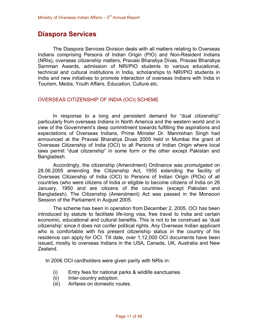## **Diaspora Services**

The Diaspora Services Division deals with all matters relating to Overseas Indians comprising Persons of Indian Origin (PIO) and Non-Resident Indians (NRIs), overseas citizenship matters, Pravasi Bharatiya Divas, Pravasi Bharatiya Samman Awards, admission of NRI/PIO students to various educational, technical and cultural institutions in India, scholarships to NRI/PIO students in India and new initiatives to promote interaction of overseas Indians with India in Tourism, Media, Youth Affairs, Education, Culture etc.

#### OVERSEAS CITIZENSHIP OF INDIA (OCI) SCHEME

In response to a long and persistent demand for "dual citizenship" particularly from overseas Indians in North America and the western world and in view of the Government's deep commitment towards fulfilling the aspirations and expectations of Overseas Indians, Prime Minister Dr. Manmohan Singh had announced at the Pravasi Bharatiya Divas 2005 held in Mumbai the grant of Overseas Citizenship of India (OCI) to all Persons of Indian Origin where local laws permit "dual citizenship" in some form or the other except Pakistan and Bangladesh.

Accordingly, the citizenship (Amendment) Ordinance was promulgated on 28.06.2005 amending the Citizenship Act, 1955 extending the facility of Overseas Citizenship of India (OCI) to Persons of Indian Origin (PIOs) of all countries (who were citizens of India or eligible to become citizens of India on 26 January, 1950 and are citizens of the countries (except Pakistan and Bangladesh). The Citizenship (Amendment) Act was passed in the Monsoon Session of the Parliament in August 2005.

The scheme has been in operation from December 2, 2005. OCI has been introduced by statute to facilitate life-long visa, free travel to India and certain economic, educational and cultural benefits. This is not to be construed as 'dual citizenship' since it does not confer political rights. Any Overseas Indian applicant who is comfortable with his present citizenship status in the country of his residence can apply for OCI. Till date, over 1,12,000 OCI documents have been issued, mostly to overseas Indians in the USA, Canada, UK, Australia and New Zealand.

In 2006 OCI cardholders were given parity with NRIs in:

- (i) Entry fees for national parks & wildlife sanctuaries.
- (ii) Inter-country adoption.
- (iii) Airfares on domestic routes.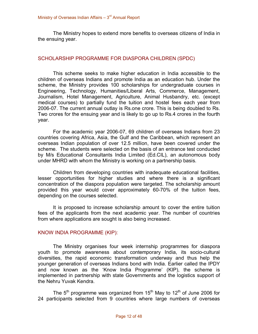The Ministry hopes to extend more benefits to overseas citizens of India in the ensuing year.

#### SCHOLARSHIP PROGRAMME FOR DIASPORA CHILDREN (SPDC)

This scheme seeks to make higher education in India accessible to the children of overseas Indians and promote India as an education hub. Under the scheme, the Ministry provides 100 scholarships for undergraduate courses in Engineering, Technology, Humanities/Liberal Arts, Commerce, Management, Journalism, Hotel Management, Agriculture, Animal Husbandry, etc. (except medical courses) to partially fund the tuition and hostel fees each year from 2006-07. The current annual outlay is Rs.one crore. This is being doubled to Rs. Two crores for the ensuing year and is likely to go up to Rs.4 crores in the fourth year.

For the academic year 2006-07, 69 children of overseas Indians from 23 countries covering Africa, Asia, the Gulf and the Caribbean, which represent an overseas Indian population of over 12.5 million, have been covered under the scheme. The students were selected on the basis of an entrance test conducted by M/s Educational Consultants India Limited (Ed.CIL), an autonomous body under MHRD with whom the Ministry is working on a partnership basis.

Children from developing countries with inadequate educational facilities, lesser opportunities for higher studies and where there is a significant concentration of the diaspora population were targeted. The scholarship amount provided this year would cover approximately 60-70% of the tuition fees, depending on the courses selected.

It is proposed to increase scholarship amount to cover the entire tuition fees of the applicants from the next academic year. The number of countries from where applications are sought is also being increased.

#### KNOW INDIA PROGRAMME (KIP):

The Ministry organises four week internship programmes for diaspora youth to promote awareness about contemporary India, its socio-cultural diversities, the rapid economic transformation underway and thus help the younger generation of overseas Indians bond with India. Earlier called the IPDY and now known as the 'Know India Programme' (KIP), the scheme is implemented in partnership with state Governments and the logistics support of the Nehru Yuvak Kendra.

The  $5<sup>th</sup>$  programme was organized from 15<sup>th</sup> May to 12<sup>th</sup> of June 2006 for 24 participants selected from 9 countries where large numbers of overseas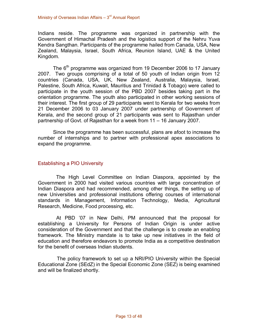Indians reside. The programme was organized in partnership with the Government of Himachal Pradesh and the logistics support of the Nehru Yuva Kendra Sangthan. Participants of the programme hailed from Canada, USA, New Zealand, Malaysia, Israel, South Africa, Reunion Island, UAE & the United Kingdom.

The 6<sup>th</sup> programme was organized from 19 December 2006 to 17 January 2007. Two groups comprising of a total of 50 youth of Indian origin from 12 countries (Canada, USA, UK, New Zealand, Australia, Malaysia, Israel, Palestine, South Africa, Kuwait, Mauritius and Trinidad & Tobago) were called to participate in the youth session of the PBD 2007 besides taking part in the orientation programme. The youth also participated in other working sessions of their interest. The first group of 29 participants went to Kerala for two weeks from 21 December 2006 to 03 January 2007 under partnership of Government of Kerala, and the second group of 21 participants was sent to Rajasthan under partnership of Govt. of Rajasthan for a week from 11 – 16 January 2007.

Since the programme has been successful, plans are afoot to increase the number of internships and to partner with professional apex associations to expand the programme.

#### Establishing a PIO University

The High Level Committee on Indian Diaspora, appointed by the Government in 2000 had visited various countries with large concentration of Indian Diaspora and had recommended, among other things, the setting up of new Universities and professional institutions offering courses of international standards in Management, Information Technology, Media, Agricultural Research, Medicine, Food processing, etc.

At PBD '07 in New Delhi, PM announced that the proposal for establishing a University for Persons of Indian Origin is under active consideration of the Government and that the challenge is to create an enabling framework. The Ministry mandate is to take up new initiatives in the field of education and therefore endeavors to promote India as a competitive destination for the benefit of overseas Indian students.

The policy framework to set up a NRI/PIO University within the Special Educational Zone (SEdZ) in the Special Economic Zone (SEZ) is being examined and will be finalized shortly.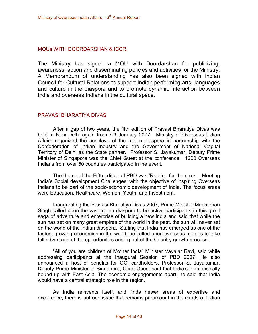#### MOUs WITH DOORDARSHAN & ICCR:

The Ministry has signed a MOU with Doordarshan for publicizing, awareness, action and disseminating policies and activities for the Ministry. A Memorandum of understanding has also been signed with Indian Council for Cultural Relations to support Indian performing arts, languages and culture in the diaspora and to promote dynamic interaction between India and overseas Indians in the cultural space.

#### PRAVASI BHARATIYA DIVAS

After a gap of two years, the fifth edition of Pravasi Bharatiya Divas was held in New Delhi again from 7-9 January 2007. Ministry of Overseas Indian Affairs organized the conclave of the Indian diaspora in partnership with the Confederation of Indian Industry and the Government of National Capital Territory of Delhi as the State partner**.** Professor S. Jayakumar, Deputy Prime Minister of Singapore was the Chief Guest at the conference. 1200 Overseas Indians from over 50 countries participated in the event.

The theme of the Fifth edition of PBD was 'Rooting for the roots – Meeting India's Social development Challenges' with the objective of inspiring Overseas Indians to be part of the socio-economic development of India. The focus areas were Education, Healthcare, Women, Youth, and Investment.

Inaugurating the Pravasi Bharatiya Divas 2007, Prime Minister Manmohan Singh called upon the vast Indian diaspora to be active participants in this great saga of adventure and enterprise of building a new India and said that while the sun has set on many great empires of the world in the past, the sun will never set on the world of the Indian diaspora. Stating that India has emerged as one of the fastest growing economies in the world, he called upon overseas Indians to take full advantage of the opportunities arising out of the Country growth process.

"All of you are children of Mother India" Minister Vayalar Ravi, said while addressing participants at the Inaugural Session of PBD 2007. He also announced a host of benefits for OCI cardholders. Professor S. Jayakumar, Deputy Prime Minister of Singapore, Chief Guest said that India's is intrinsically bound up with East Asia. The economic engagements apart, he said that India would have a central strategic role in the region.

As India reinvents itself, and finds newer areas of expertise and excellence, there is but one issue that remains paramount in the minds of Indian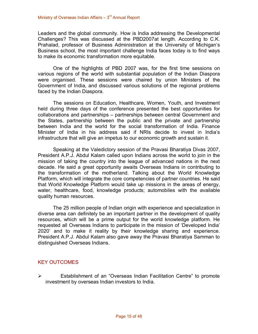Leaders and the global community. How is India addressing the Developmental Challenges? This was discussed at the PBD2007at length. According to C.K. Prahalad, professor of Business Administration at the University of Michigan's Business school, the most important challenge India faces today is to find ways to make its economic transformation more equitable.

One of the highlights of PBD 2007 was, for the first time sessions on various regions of the world with substantial population of the Indian Diaspora were organised. These sessions were chaired by union Ministers of the Government of India, and discussed various solutions of the regional problems faced by the Indian Diaspora.

The sessions on Education, Healthcare, Women, Youth, and Investment held during three days of the conference presented the best opportunities for collaborations and partnerships – partnerships between central Government and the States, partnership between the public and the private and partnership between India and the world for the social transformation of India. Finance Minister of India in his address said if NRIs decide to invest in India's infrastructure that will give an impetus to our economic growth and sustain it.

Speaking at the Valedictory session of the Pravasi Bharatiya Divas 2007, President A.P.J. Abdul Kalam called upon Indians across the world to join in the mission of taking the country into the league of advanced nations in the next decade. He said a great opportunity awaits Overseas Indians in contributing to the transformation of the motherland. Talking about the World Knowledge Platform, which will integrate the core competencies of partner countries. He said that World Knowledge Platform would take up missions in the areas of energy, water, healthcare, food, knowledge products; automobiles with the available quality human resources.

The 25 million people of Indian origin with experience and specialization in diverse area can definitely be an important partner in the development of quality resources, which will be a prime output for the world knowledge platform. He requested all Overseas Indians to participate in the mission of 'Developed India' 2020' and to make it reality by their knowledge sharing and experience. President A.P.J. Abdul Kalam also gave away the Pravasi Bharatiya Samman to distinguished Overseas Indians.

#### KEY OUTCOMES

 $\triangleright$  Establishment of an "Overseas Indian Facilitation Centre" to promote investment by overseas Indian investors to India.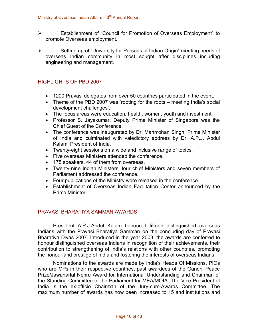- ÿ Establishment of "Council for Promotion of Overseas Employment" to promote Overseas employment.
- $\triangleright$  Setting up of "University for Persons of Indian Origin" meeting needs of overseas Indian community in most sought after disciplines including engineering and management.

#### HIGHLIGHTS OF PBD 2007

- · 1200 Pravasi delegates from over 50 countries participated in the event.
- · Theme of the PBD 2007 was 'rooting for the roots meeting India's social development challenges'.
- · The focus areas were education, health, women, youth and investment.
- · Professor S. Jayakumar, Deputy Prime Minister of Singapore was the Chief Guest of the Conference.
- The conference was inaugurated by Dr. Manmohan Singh, Prime Minister of India and culminated with valedictory address by Dr. A.P.J. Abdul Kalam, President of India.
- Twenty-eight sessions on a wide and inclusive range of topics.
- · Five overseas Ministers attended the conference.
- · 175 speakers, 44 of them from overseas.
- Twenty-nine Indian Ministers, four chief Ministers and seven members of Parliament addressed the conference.
- · Four publications of the Ministry were released in the conference.
- · Establishment of Overseas Indian Facilitation Center announced by the Prime Minister.

#### PRAVASI BHARATIYA SAMMAN AWARDS

President A.P.J.Abdul Kalam honoured fifteen distinguished overseas Indians with the Pravasi Bharatiya Samman on the concluding day of Pravasi Bharatiya Divas 2007. Introduced in the year 2003, the awards are conferred to honour distinguished overseas Indians in recognition of their achievements, their contribution to strengthening of India's relations with other countries, promoting the honour and prestige of India and fostering the interests of overseas Indians.

Nominations to the awards are made by India's Heads Of Missions, PIOs who are MPs in their respective countries, past awardees of the Gandhi Peace Prize/Jawaharlal Nehru Award for International Understanding and Chairman of the Standing Committee of the Parliament for MEA/MOIA. The Vice President of India is the ex-officio Chairman of the Jury-cum-Awards Committee. The maximum number of awards has now been increased to 15 and institutions and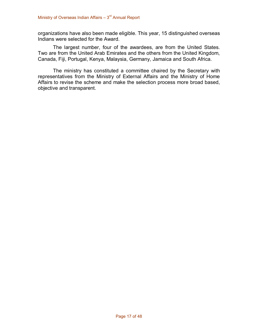organizations have also been made eligible. This year, 15 distinguished overseas Indians were selected for the Award.

The largest number, four of the awardees, are from the United States. Two are from the United Arab Emirates and the others from the United Kingdom, Canada, Fiji, Portugal, Kenya, Malaysia, Germany, Jamaica and South Africa.

The ministry has constituted a committee chaired by the Secretary with representatives from the Ministry of External Affairs and the Ministry of Home Affairs to revise the scheme and make the selection process more broad based, objective and transparent.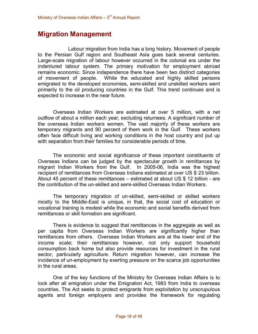## **Migration Management**

Labour migration from India has a long history. Movement of people to the Persian Gulf region and Southeast Asia goes back several centuries. Large-scale migration of labour however occurred in the colonial era under the indentured labour system. The primary motivation for employment abroad remains economic. Since independence there have been two distinct categories of movement of people. While the educated and highly skilled persons emigrated to the developed economies, semi-skilled and unskilled workers went primarily to the oil producing countries in the Gulf. This trend continues and is expected to increase in the near future.

Overseas Indian Workers are estimated at over 5 million, with a net outflow of about a million each year, excluding returnees. A significant number of the overseas Indian workers women. The vast majority of these workers are temporary migrants and 90 percent of them work in the Gulf. These workers often face difficult living and working conditions in the host country and put up with separation from their families for considerable periods of time.

The economic and social significance of these important constituents of Overseas Indians can be judged by the spectacular growth in remittances by migrant Indian Workers from the Gulf. In 2005-06, India was the highest recipient of remittances from Overseas Indians estimated at over US \$ 23 billion. About 45 percent of these remittances  $-$  estimated at about US \$ 12 billion - are the contribution of the un-skilled and semi-skilled Overseas Indian Workers.

The temporary migration of un-skilled, semi-skilled or skilled workers mostly to the Middle-East is unique, in that, the social cost of education or vocational training is modest while the economic and social benefits derived from remittances or skill formation are significant.

There is evidence to suggest that remittances in the aggregate as well as per capita from Overseas Indian Workers are significantly higher than remittances from others. Overseas Indian Workers are at the lower end of the income scale; their remittances however, not only support household consumption back home but also provide resources for investment in the rural sector, particularly agriculture. Return migration however, can increase the incidence of un-employment by exerting pressure on the scarce job opportunities in the rural areas.

One of the key functions of the Ministry for Overseas Indian Affairs is to look after all emigration under the Emigration Act, 1983 from India to overseas countries. The Act seeks to protect emigrants from exploitation by unscrupulous agents and foreign employers and provides the framework for regulating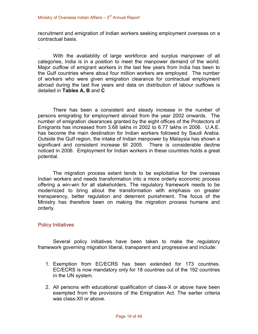recruitment and emigration of Indian workers seeking employment overseas on a contractual basis.

With the availability of large workforce and surplus manpower of all categories, India is in a position to meet the manpower demand of the world. Major outflow of emigrant workers in the last few years from India has been to the Gulf countries where about four million workers are employed. The number of workers who were given emigration clearance for contractual employment abroad during the last five years and data on distribution of labour outflows is detailed in **Tables A, B** and **C**

There has been a consistent and steady increase in the number of persons emigrating for employment abroad from the year 2002 onwards. The number of emigration clearances granted by the eight offices of the Protectors of Emigrants has increased from 3.68 lakhs in 2002 to 6.77 lakhs in 2006. U.A.E. has become the main destination for Indian workers followed by Saudi Arabia. Outside the Gulf region, the intake of Indian manpower by Malaysia has shown a significant and consistent increase till 2005. There is considerable decline noticed in 2006. Employment for Indian workers in these countries holds a great potential.

The migration process extant tends to be exploitative for the overseas Indian workers and needs transformation into a more orderly economic process offering a win-win for all stakeholders. The regulatory framework needs to be modernized to bring about the transformation with emphasis on greater transparency, better regulation and deterrent punishment. The focus of the Ministry has therefore been on making the migration process humane and orderly.

#### Policy Initiatives

.

Several policy initiatives have been taken to make the regulatory framework governing migration liberal, transparent and progressive and include:

- 1. Exemption from EC/ECRS has been extended for 173 countries. EC/ECRS is now mandatory only for 18 countries out of the 192 countries in the UN system.
- 2. All persons with educational qualification of class-X or above have been exempted from the provisions of the Emigration Act. The earlier criteria was class-XII or above.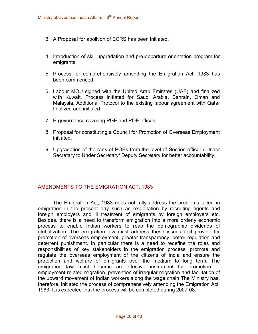- 3. A Proposal for abolition of ECRS has been initiated.
- 4. Introduction of skill upgradation and pre-departure orientation program for emigrants.
- 5. Process for comprehensively amending the Emigration Act, 1983 has been commenced.
- 6. Labour MOU signed with the United Arab Emirates (UAE) and finalized with Kuwait. Process initiated for Saudi Arabia, Bahrain, Oman and Malaysia. Additional Protocol to the existing labour agreement with Qatar finalized and initialed.
- 7. E-governance covering PGE and POE offices.
- 8. Proposal for constituting a Council for Promotion of Overseas Employment initiated.
- 9. Upgradation of the rank of POEs from the level of Section officer / Under Secretary to Under Secretary/ Deputy Secretary for better accountability.

#### AMENDMENTS TO THE EMIGRATION ACT, 1983

The Emigration Act, 1983 does not fully address the problems faced in emigration in the present day such as exploitation by recruiting agents and foreign employers and ill treatment of emigrants by foreign employers etc. Besides, there is a need to transform emigration into a more orderly economic process to enable Indian workers to reap the demographic dividends of globalization. The emigration law must address these issues and provide for promotion of overseas employment, greater transparency, better regulation and deterrent punishment. In particular there is a need to redefine the roles and responsibilities of key stakeholders in the emigration process, promote and regulate the overseas employment of the citizens of India and ensure the protection and welfare of emigrants over the medium to long term. The emigration law must become an effective instrument for promotion of employment related migration, prevention of irregular migration and facilitation of the upward movement of Indian workers along the wage chain The Ministry has, therefore, initiated the process of comprehensively amending the Emigration Act, 1983. It is expected that the process will be completed during 2007-08.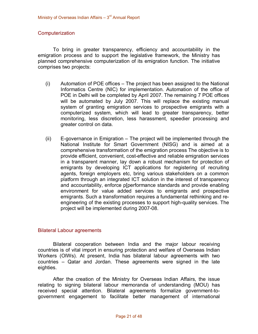#### **Computerization**

To bring in greater transparency, efficiency and accountability in the emigration process and to support the legislative framework, the Ministry has planned comprehensive computerization of its emigration function. The initiative comprises two projects:

- (i) Automation of POE offices The project has been assigned to the National Informatics Centre (NIC) for implementation. Automation of the office of POE in Delhi will be completed by April 2007. The remaining 7 POE offices will be automated by July 2007. This will replace the existing manual system of granting emigration services to prospective emigrants with a computerized system, which will lead to greater transparency, better monitoring, less discretion, less harassment, speedier processing and greater control on data.
- $(ii)$  E-governance in Emigration The project will be implemented through the National Institute for Smart Government (NISG) and is aimed at a comprehensive transformation of the emigration process The objective is to provide efficient, convenient, cost-effective and reliable emigration services in a transparent manner, lay down a robust mechanism for protection of emigrants by developing ICT applications for registering of recruiting agents, foreign employers etc, bring various stakeholders on a common platform through an integrated ICT solution in the interest of transparency and accountability, enforce p[performance standards and provide enabling environment for value added services to emigrants and prospective emigrants. Such a transformation requires a fundamental rethinking and re engineering of the existing processes to support high-quality services. The project will be implemented during 2007-08.

#### Bilateral Labour agreements

Bilateral cooperation between India and the major labour receiving countries is of vital import in ensuring protection and welfare of Overseas Indian Workers (OIWs). At present, India has bilateral labour agreements with two countries – Qatar and Jordan. These agreements were signed in the late eighties.

After the creation of the Ministry for Overseas Indian Affairs, the issue relating to signing bilateral labour memoranda of understanding (MOU) has received special attention. Bilateral agreements formalize government-togovernment engagement to facilitate better management of international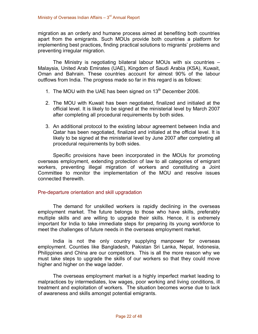migration as an orderly and humane process aimed at benefiting both countries apart from the emigrants. Such MOUs provide both countries a platform for implementing best practices, finding practical solutions to migrants' problems and preventing irregular migration.

The Ministry is negotiating bilateral labour MOUs with six countries – Malaysia, United Arab Emirates (UAE), Kingdom of Saudi Arabia (KSA), Kuwait, Oman and Bahrain. These countries account for almost 90% of the labour outflows from India. The progress made so far in this regard is as follows:

- 1. The MOU with the UAE has been signed on  $13<sup>th</sup>$  December 2006.
- 2. The MOU with Kuwait has been negotiated, finalized and initialed at the official level. It is likely to be signed at the ministerial level by March 2007 after completing all procedural requirements by both sides.
- 3. An additional protocol to the existing labour agreement between India and Qatar has been negotiated, finalized and initialed at the official level. It is likely to be signed at the ministerial level by June 2007 after completing all procedural requirements by both sides.

Specific provisions have been incorporated in the MOUs for promoting overseas employment, extending protection of law to all categories of emigrant workers, preventing illegal migration of workers and constituting a Joint Committee to monitor the implementation of the MOU and resolve issues connected therewith.

#### Pre-departure orientation and skill upgradation

The demand for unskilled workers is rapidly declining in the overseas employment market. The future belongs to those who have skills, preferably multiple skills and are willing to upgrade their skills. Hence, it is extremely important for India to take immediate steps for preparing its young workforce to meet the challenges of future needs in the overseas employment market.

India is not the only country supplying manpower for overseas employment. Counties like Bangladesh, Pakistan Sri Lanka, Nepal, Indonesia, Philippines and China are our competitors. This is all the more reason why we must take steps to upgrade the skills of our workers so that they could move higher and higher on the wage ladder.

The overseas employment market is a highly imperfect market leading to malpractices by intermediates, low wages, poor working and living conditions, ill treatment and exploitation of workers. The situation becomes worse due to lack of awareness and skills amongst potential emigrants.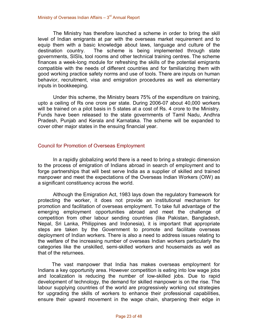The Ministry has therefore launched a scheme in order to bring the skill level of Indian emigrants at par with the overseas market requirement and to equip them with a basic knowledge about laws, language and culture of the destination country. The scheme is being implemented through state governments, SISIs, tool rooms and other technical training centres. The scheme finances a week-long module for refreshing the skills of the potential emigrants compatible with the needs of different countries and for familiarizing them with good working practice safety norms and use of tools. There are inputs on human behavior, recruitment, visa and emigration procedures as well as elementary inputs in bookkeeping.

Under this scheme, the Ministry bears 75% of the expenditure on training, upto a ceiling of Rs one crore per state. During 2006-07 about 40,000 workers will be trained on a pilot basis in 5 states at a cost of Rs. 4 crore to the Ministry. Funds have been released to the state governments of Tamil Nadu, Andhra Pradesh, Punjab and Kerala and Karnataka. The scheme will be expanded to cover other major states in the ensuing financial year.

#### Council for Promotion of Overseas Employment

In a rapidly globalizing world there is a need to bring a strategic dimension to the process of emigration of Indians abroad in search of employment and to forge partnerships that will best serve India as a supplier of skilled and trained manpower and meet the expectations of the Overseas Indian Workers (OIW) as a significant constituency across the world.

Although the Emigration Act, 1983 lays down the regulatory framework for protecting the worker, it does not provide an institutional mechanism for promotion and facilitation of overseas employment. To take full advantage of the emerging employment opportunities abroad and meet the challenge of competition from other labour sending countries (like Pakistan, Bangladesh, Nepal, Sri Lanka, Philippines and Indonesia), it is important that appropriate steps are taken by the Government to promote and facilitate overseas deployment of Indian workers. There is also a need to address issues relating to the welfare of the increasing number of overseas Indian workers particularly the categories like the unskilled, semi-skilled workers and housemaids as well as that of the returnees.

The vast manpower that India has makes overseas employment for Indians a key opportunity area. However competition is eating into low wage jobs and localization is reducing the number of low-skilled jobs. Due to rapid development of technology, the demand for skilled manpower is on the rise. The labour supplying countries of the world are progressively working out strategies for upgrading the skills of workers to enhance their professional capabilities, ensure their upward movement in the wage chain, sharpening their edge in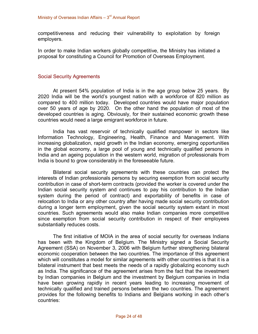competitiveness and reducing their vulnerability to exploitation by foreign employers.

In order to make Indian workers globally competitive, the Ministry has initiated a proposal for constituting a Council for Promotion of Overseas Employment.

#### Social Security Agreements

At present 54% population of India is in the age group below 25 years. By 2020 India will be the world's youngest nation with a workforce of 820 million as compared to 400 million today. Developed countries would have major population over 50 years of age by 2020. On the other hand the population of most of the developed countries is aging. Obviously, for their sustained economic growth these countries would need a large emigrant workforce in future.

India has vast reservoir of technically qualified manpower in sectors like Information Technology, Engineering, Health, Finance and Management. With increasing globalization, rapid growth in the Indian economy, emerging opportunities in the global economy, a large pool of young and technically qualified persons in India and an ageing population in the western world, migration of professionals from India is bound to grow considerably in the foreseeable future.

Bilateral social security agreements with these countries can protect the interests of Indian professionals persons by securing exemption from social security contribution in case of short-term contracts (provided the worker is covered under the Indian social security system and continues to pay his contribution to the Indian system during the period of contract) and exportability of benefits in case of relocation to India or any other country after having made social security contribution during a longer term employment, given the social security system extant in most countries. Such agreements would also make Indian companies more competitive since exemption from social security contribution in respect of their employees substantially reduces costs.

The first initiative of MOIA in the area of social security for overseas Indians has been with the Kingdom of Belgium. The Ministry signed a Social Security Agreement (SSA) on November 3, 2006 with Belgium further strengthening bilateral economic cooperation between the two countries. The importance of this agreement which will constitutes a model for similar agreements with other countries is that it is a bilateral instrument that best meets the needs of a rapidly globalizing economy such as India. The significance of the agreement arises from the fact that the investment by Indian companies in Belgium and the investment by Belgium companies in India have been growing rapidly in recent years leading to increasing movement of technically qualified and trained persons between the two countries. The agreement provides for the following benefits to Indians and Belgians working in each other's countries: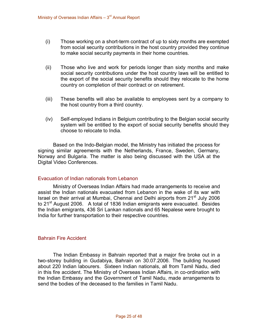- $(i)$  Those working on a short-term contract of up to sixty months are exempted from social security contributions in the host country provided they continue to make social security payments in their home countries.
- (ii) Those who live and work for periods longer than sixty months and make social security contributions under the host country laws will be entitled to the export of the social security benefits should they relocate to the home country on completion of their contract or on retirement.
- (iii) These benefits will also be available to employees sent by a company to the host country from a third country.
- (iv) Selfemployed Indians in Belgium contributing to the Belgian social security system will be entitled to the export of social security benefits should they choose to relocate to India.

Based on the Indo-Belgian model, the Ministry has initiated the process for signing similar agreements with the Netherlands, France, Sweden, Germany, Norway and Bulgaria. The matter is also being discussed with the USA at the Digital Video Conferences.

#### Evacuation of Indian nationals from Lebanon

Ministry of Overseas Indian Affairs had made arrangements to receive and assist the Indian nationals evacuated from Lebanon in the wake of its war with Israel on their arrival at Mumbai. Chennai and Delhi airports from 21<sup>st</sup> July 2006 to 21<sup>st</sup> August 2006. A total of 1836 Indian emigrants were evacuated. Besides the Indian emigrants, 436 Sri Lankan nationals and 65 Nepalese were brought to India for further transportation to their respective countries.

#### Bahrain Fire Accident

The Indian Embassy in Bahrain reported that a major fire broke out in a two-storey building in Gudabiya, Bahrain on 30.07.2006. The building housed about 220 Indian labourers. Sixteen Indian nationals, all from Tamil Nadu, died in this fire accident. The Ministry of Overseas Indian Affairs, in co-ordination with the Indian Embassy and the Government of Tamil Nadu, made arrangements to send the bodies of the deceased to the families in Tamil Nadu.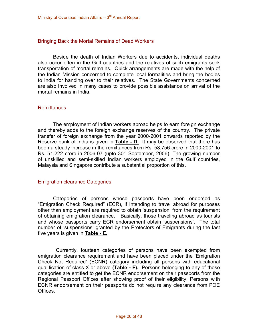#### Bringing Back the Mortal Remains of Dead Workers

Beside the death of Indian Workers due to accidents, individual deaths also occur often in the Gulf countries and the relatives of such emigrants seek transportation of mortal remains. Quick arrangements are made with the help of the Indian Mission concerned to complete local formalities and bring the bodies to India for handing over to their relatives. The State Governments concerned are also involved in many cases to provide possible assistance on arrival of the mortal remains in India.

#### **Remittances**

The employment of Indian workers abroad helps to earn foreign exchange and thereby adds to the foreign exchange reserves of the country. The private transfer of foreign exchange from the year 2000-2001 onwards reported by the Reserve bank of India is given in **Table D.** It may be observed that there has been a steady increase in the remittances from Rs. 58,756 crore in 2000-2001 to Rs. 51,222 crore in 2006-07 (upto  $30<sup>th</sup>$  September, 2006). The growing number of unskilled and semi-skilled Indian workers employed in the Gulf countries, Malaysia and Singapore contribute a substantial proportion of this.

#### Emigration clearance Categories

Categories of persons whose passports have been endorsed as "Emigration Check Required" (ECR), if intending to travel abroad for purposes other than employment are required to obtain 'suspension' from the requirement of obtaining emigration clearance. Basically, those traveling abroad as tourists and whose passports carry ECR endorsement obtain 'suspensions'. The total number of 'suspensions' granted by the Protectors of Emigrants during the last five years is given in **Table E.**

Currently, fourteen categories of persons have been exempted from emigration clearance requirement and have been placed under the 'Emigration Check Not Required' (ECNR) category including all persons with educational qualification of class-X or above **(Table - F).** Persons belonging to any of these categories are entitled to get the ECNR endorsement on their passports from the Regional Passport Offices after showing proof of their eligibility. Persons with ECNR endorsement on their passports do not require any clearance from POE Offices.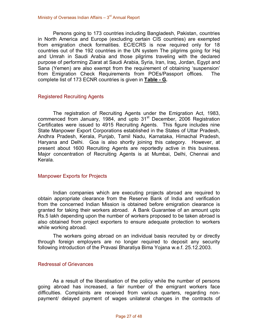Persons going to 173 countries including Bangladesh, Pakistan, countries in North America and Europe (excluding certain CIS countries) are exempted from emigration check formalities. EC/ECRS is now required only for 18 countries out of the 192 countries in the UN system The pilgrims going for Haj and Umrah in Saudi Arabia and those pilgrims traveling with the declared purpose of performing Ziarat at Saudi Arabia, Syria, Iran, Iraq, Jordan, Egypt and Sana (Yemen) are also exempt from the requirement of obtaining 'suspension' from Emigration Check Requirements from POEs/Passport offices. The complete list of 173 ECNR countries is given in **Table G.**

#### Registered Recruiting Agents

The registration of Recruiting Agents under the Emigration Act, 1983, commenced from January, 1984, and upto 31<sup>st</sup> December, 2006 Registration Certificates were issued to 4915 Recruiting Agents. This figure includes nine State Manpower Export Corporations established in the States of Uttar Pradesh, Andhra Pradesh, Kerala, Punjab, Tamil Nadu, Karnataka, Himachal Pradesh, Haryana and Delhi. Goa is also shortly joining this category. However, at present about 1600 Recruiting Agents are reportedly active in this business. Major concentration of Recruiting Agents is at Mumbai, Delhi, Chennai and Kerala.

#### Manpower Exports for Projects

Indian companies which are executing projects abroad are required to obtain appropriate clearance from the Reserve Bank of India and verification from the concerned Indian Mission is obtained before emigration clearance is granted for taking their workers abroad. A Bank Guarantee of an amount upto Rs.5 lakh depending upon the number of workers proposed to be taken abroad is also obtained from project exporters to ensure adequate protection to workers while working abroad.

The workers going abroad on an individual basis recruited by or directly through foreign employers are no longer required to deposit any security following introduction of the Pravasi Bharatiya Bima Yojana w.e.f. 25.12.2003.

#### Redressal of Grievances

As a result of the liberalisation of the policy while the number of persons going abroad has increased, a fair number of the emigrant workers face difficulties. Complaints are received from various quarters, regarding nonpayment/ delayed payment of wages unilateral changes in the contracts of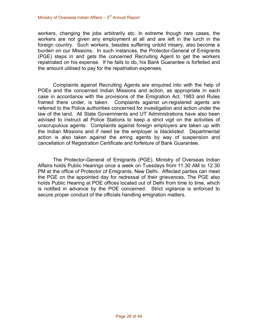workers, changing the jobs arbitrarily etc. In extreme though rare cases, the workers are not given any employment at all and are left in the lurch in the foreign country. Such workers, besides suffering untold misery, also become a burden on our Missions. In such instances, the Protector-General of Emigrants (PGE) steps in and gets the concerned Recruiting Agent to get the workers repatriated on his expense. If he fails to do, his Bank Guarantee is forfeited and the amount utilised to pay for the repatriation expenses.

Complaints against Recruiting Agents are enquired into with the help of POEs and the concerned Indian Missions and action, as appropriate in each case in accordance with the provisions of the Emigration Act, 1983 and Rules framed there under, is taken. Complaints against un-registered agents are referred to the Police authorities concerned for investigation and action under the law of the land. All State Governments and UT Administrations have also been advised to instruct all Police Stations to keep a strict vigil on the activities of unscrupulous agents. Complaints against foreign employers are taken up with the Indian Missions and if need be the employer is blacklisted. Departmental action is also taken against the erring agents by way of suspension and cancellation of Registration Certificate and forfeiture of Bank Guarantee.

The Protector-General of Emigrants (PGE), Ministry of Overseas Indian Affairs holds Public Hearings once a week on Tuesdays from 11.30 AM to 12.30 PM at the office of Protector of Emigrants, New Delhi. Affected parties can meet the PGE on the appointed day for redressal of their grievances. The PGE also holds Public Hearing at POE offices located out of Delhi from time to time, which is notified in advance by the POE concerned. Strict vigilance is enforced to secure proper conduct of the officials handling emigration matters.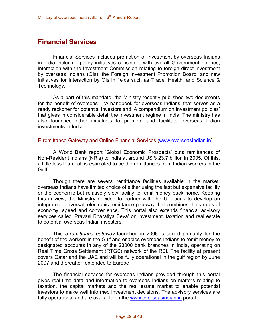# **Financial Services**

Financial Services includes promotion of investment by overseas Indians in India including policy initiatives consistent with overall Government policies, interaction with the Investment Commission relating to foreign direct investment by overseas Indians (OIs), the Foreign Investment Promotion Board, and new initiatives for interaction by OIs in fields such as Trade, Health, and Science & Technology.

As a part of this mandate, the Ministry recently published two documents for the benefit of overseas – 'A handbook for overseas Indians' that serves as a ready reckoner for potential investors and 'A compendium on investment policies' that gives in considerable detail the investment regime in India. The ministry has also launched other initiatives to promote and facilitate overseas Indian investments in India.

#### Eremittance Gateway and Online Financial Services [\(www.overseasindian.in\)](http://www.overseasindian.in/)

A World Bank report 'Global Economic Prospects' puts remittances of Non-Resident Indians (NRIs) to India at around US \$ 23.7 billion in 2005. Of this, a little less than half is estimated to be the remittances from Indian workers in the Gulf.

Though there are several remittance facilities available in the market, overseas Indians have limited choice of either using the fast but expensive facility or the economic but relatively slow facility to remit money back home. Keeping this in view, the Ministry decided to partner with the UTI bank to develop an integrated, universal, electronic remittance gateway that combines the virtues of economy, speed and convenience. This portal also extends financial advisory services called 'Pravasi Bharatiya Seva' on investment, taxation and real estate to potential overseas Indian investors.

This *eremittance gateway* launched in 2006 is aimed primarily for the benefit of the workers in the Gulf and enables overseas Indians to remit money to designated accounts in any of the 23000 bank branches in India, operating on Real Time Gross Settlement (RTGS) network of the RBI. The facility at present covers Qatar and the UAE and will be fully operational in the gulf region by June 2007 and thereafter, extended to Europe

The financial services for overseas Indians provided through this portal gives real-time data and information to overseas Indians on matters relating to taxation, the capital markets and the real estate market to enable potential investors to make well informed investment decisions. The advisory services are fully operational and are available on the [www.overseasindian.in](http://www.overseasindian.in/) portal.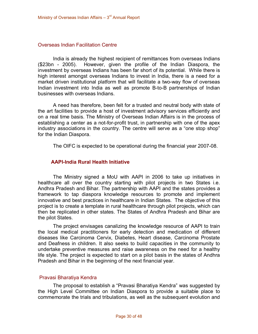#### Overseas Indian Facilitation Centre

India is already the highest recipient of remittances from overseas Indians (\$23bn 2005). However, given the profile of the Indian Diaspora, the investment by overseas Indians has been far short of its potential. While there is high interest amongst overseas Indians to invest in India, there is a need for a market driven institutional platform that will facilitate a two-way flow of overseas Indian investment into India as well as promote B-to-B partnerships of Indian businesses with overseas Indians.

A need has therefore, been felt for a trusted and neutral body with state of the art facilities to provide a host of investment advisory services efficiently and on a real time basis. The Ministry of Overseas Indian Affairs is in the process of establishing a center as a not-for-profit trust, in partnership with one of the apex industry associations in the country. The centre will serve as a "one stop shop" for the Indian Diaspora.

The OIFC is expected to be operational during the financial year 2007-08.

#### **AAPI-India Rural Health Initiative**

The Ministry signed a MoU with AAPI in 2006 to take up initiatives in healthcare all over the country starting with pilot projects in two States *i.e.* Andhra Pradesh and Bihar. The partnership with AAPI and the states provides a framework to tap diaspora knowledge resources to promote and implement innovative and best practices in healthcare in Indian States. The objective of this project is to create a template in rural healthcare through pilot projects, which can then be replicated in other states. The States of Andhra Pradesh and Bihar are the pilot States.

The project envisages canalizing the knowledge resource of AAPI to train the local medical practitioners for early detection and medication of different diseases like Carcinoma Cervix, Diabetes, Heart disease, Carcinoma Prostate and Deafness in children. It also seeks to build capacities in the community to undertake preventive measures and raise awareness on the need for a healthy life style. The project is expected to start on a pilot basis in the states of Andhra Pradesh and Bihar in the beginning of the next financial year.

#### Pravasi Bharatiya Kendra

The proposal to establish a "Pravasi Bharatiya Kendra" was suggested by the High Level Committee on Indian Diaspora to provide a suitable place to commemorate the trials and tribulations, as well as the subsequent evolution and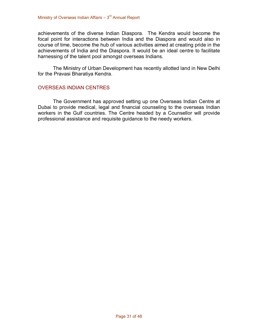achievements of the diverse Indian Diaspora. The Kendra would become the focal point for interactions between India and the Diaspora and would also in course of time, become the hub of various activities aimed at creating pride in the achievements of India and the Diaspora. It would be an ideal centre to facilitate harnessing of the talent pool amongst overseas Indians.

The Ministry of Urban Development has recently allotted land in New Delhi for the Pravasi Bharatiya Kendra.

#### OVERSEAS INDIAN CENTRES

The Government has approved setting up one Overseas Indian Centre at Dubai to provide medical, legal and financial counseling to the overseas Indian workers in the Gulf countries. The Centre headed by a Counsellor will provide professional assistance and requisite guidance to the needy workers.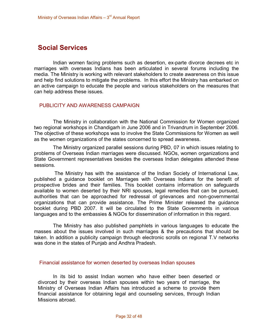# **Social Services**

Indian women facing problems such as desertion, ex-parte divorce decrees etc in marriages with overseas Indians has been articulated in several forums including the media. The Ministry is working with relevant stakeholders to create awareness on this issue and help find solutions to mitigate the problems. In this effort the Ministry has embarked on an active campaign to educate the people and various stakeholders on the measures that can help address these issues.

#### PUBLICITY AND AWARENESS CAMPAIGN

The Ministry in collaboration with the National Commission for Women organized two regional workshops in Chandigarh in June 2006 and in Trivandrum in September 2006. The objective of these workshops was to involve the State Commissions for Women as well as the women organizations of the states concerned to spread awareness.

The Ministry organized parallel sessions during PBD, 07 in which issues relating to problems of Overseas Indian marriages were discussed. NGOs, women organizations and State Government representatives besides the overseas Indian delegates attended these sessions.<br>The Ministry has with the assistance of the Indian Society of International Law,

published a guidance booklet on Marriages with Overseas Indians for the benefit of prospective brides and their families. This booklet contains information on safeguards available to women deserted by their NRI spouses, legal remedies that can be pursued, authorities that can be approached for redressal of grievances and non-governmental organizations that can provide assistance. The Prime Minister released the guidance booklet during PBD 2007. It will be circulated to the State Governments in various languages and to the embassies & NGOs for dissemination of information in this regard.

The Ministry has also published pamphlets in various languages to educate the masses about the issues involved in such marriages & the precautions that should be taken. In addition a publicity campaign through electronic scrolls on regional T.V networks was done in the states of Punjab and Andhra Pradesh.

#### Financial assistance for women deserted by overseas Indian spouses

In its bid to assist Indian women who have either been deserted or divorced by their overseas Indian spouses within two years of marriage, the Ministry of Overseas Indian Affairs has introduced a scheme to provide them financial assistance for obtaining legal and counseling services, through Indian Missions abroad.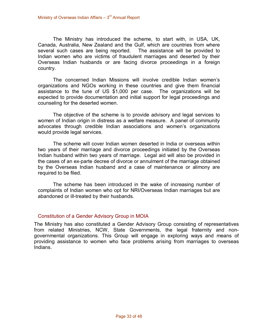The Ministry has introduced the scheme, to start with, in USA, UK, Canada, Australia, New Zealand and the Gulf, which are countries from where several such cases are being reported. The assistance will be provided to Indian women who are victims of fraudulent marriages and deserted by their Overseas Indian husbands or are facing divorce proceedings in a foreign country.

The concerned Indian Missions will involve credible Indian women's organizations and NGOs working in these countries and give them financial assistance to the tune of US \$1,000 per case. The organizations will be expected to provide documentation and initial support for legal proceedings and counseling for the deserted women.

The objective of the scheme is to provide advisory and legal services to women of Indian origin in distress as a welfare measure. A panel of community advocates through credible Indian associations and women's organizations would provide legal services.

The scheme will cover Indian women deserted in India or overseas within two years of their marriage and divorce proceedings initiated by the Overseas Indian husband within two years of marriage. Legal aid will also be provided in the cases of an ex-parte decree of divorce or annulment of the marriage obtained by the Overseas Indian husband and a case of maintenance or alimony are required to be filed.

The scheme has been introduced in the wake of increasing number of complaints of Indian women who opt for NRI/Overseas Indian marriages but are abandoned or ill-treated by their husbands.

#### Constitution of a Gender Advisory Group in MOIA

The Ministry has also constituted a Gender Advisory Group consisting of representatives from related Ministries, NCW, State Governments, the legal fraternity and nongovernmental organizations. This Group will engage in exploring ways and means of providing assistance to women who face problems arising from marriages to overseas Indians.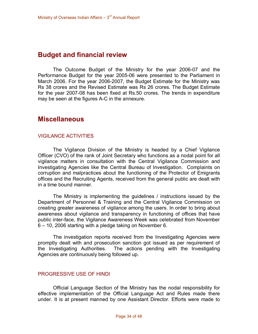### **Budget and financial review**

The Outcome Budget of the Ministry for the year 2006-07 and the Performance Budget for the year 2005-06 were presented to the Parliament in March 2006. For the year 2006-2007, the Budget Estimate for the Ministry was Rs 38 crores and the Revised Estimate was Rs 26 crores. The Budget Estimate for the year 2007-08 has been fixed at Rs.50 crores. The trends in expenditure may be seen at the figures A-C in the annexure.

### **Miscellaneous**

#### VIGILANCE ACTIVITIES

The Vigilance Division of the Ministry is headed by a Chief Vigilance Officer (CVO) of the rank of Joint Secretary who functions as a nodal point for all vigilance matters in consultation with the Central Vigilance Commission and Investigating Agencies like the Central Bureau of Investigation. Complaints on corruption and malpractices about the functioning of the Protector of Emigrants offices and the Recruiting Agents, received from the general public are dealt with in a time bound manner.

The Ministry is implementing the guidelines / instructions issued by the Department of Personnel & Training and the Central Vigilance Commission on creating greater awareness of vigilance among the users. In order to bring about awareness about vigilance and transparency in functioning of offices that have public interface, the Vigilance Awareness Week was celebrated from November 6 – 10, 2006 starting with a pledge taking on November 6.

The investigation reports received from the Investigating Agencies were promptly dealt with and prosecution sanction got issued as per requirement of the Investigating Authorities. The actions pending with the Investigating Agencies are continuously being followed up.

#### PROGRESSIVE USE OF HINDI

Official Language Section of the Ministry has the nodal responsibility for effective implementation of the Official Language Act and Rules made there under. It is at present manned by one Assistant Director. Efforts were made to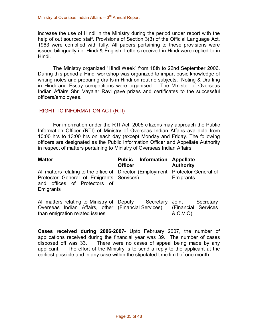increase the use of Hindi in the Ministry during the period under report with the help of out sourced staff. Provisions of Section 3(3) of the Official Language Act, 1963 were complied with fully. All papers pertaining to these provisions were issued bilingually i.e. Hindi & English. Letters received in Hindi were replied to in Hindi.

The Ministry organized "Hindi Week" from 18th to 22nd September 2006. During this period a Hindi workshop was organized to impart basic knowledge of writing notes and preparing drafts in Hindi on routine subjects. Noting & Drafting in Hindi and Essay competitions were organised. The Minister of Overseas Indian Affairs Shri Vayalar Ravi gave prizes and certificates to the successful officers/employees.

#### RIGHT TO INFORMATION ACT (RTI)

For information under the RTI Act, 2005 citizens may approach the Public Information Officer (RTI) of Ministry of Overseas Indian Affairs available from 10:00 hrs to 13:00 hrs on each day (except Monday and Friday. The following officers are designated as the Public Information Officer and Appellate Authority in respect of matters pertaining to Ministry of Overseas Indian Affairs:

| <b>Matter</b>                                                                                                                                                            | <b>Public Information Appellate</b><br><b>Officer</b> | <b>Authority</b>                                      |
|--------------------------------------------------------------------------------------------------------------------------------------------------------------------------|-------------------------------------------------------|-------------------------------------------------------|
| All matters relating to the office of Director (Employment Protector General of<br>Protector General of Emigrants Services)<br>and offices of Protectors of<br>Emigrants |                                                       | Emigrants                                             |
| All matters relating to Ministry of Deputy<br>Overseas Indian Affairs, other (Financial Services)<br>than emigration related issues                                      | Secretary                                             | Secretary<br>Joint<br>(Financial Services<br>& C.V.O) |

**Cases received during 2006-2007-** Upto February 2007, the number of applications received during the financial year was 39. The number of cases disposed off was 33. There were no cases of appeal being made by any applicant. The effort of the Ministry is to send a reply to the applicant at the earliest possible and in any case within the stipulated time limit of one month.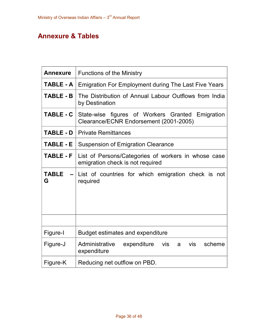# **Annexure & Tables**

| <b>Annexure</b>   | <b>Functions of the Ministry</b>                                                           |  |  |  |  |  |
|-------------------|--------------------------------------------------------------------------------------------|--|--|--|--|--|
| TABLE - A         | <b>Emigration For Employment during The Last Five Years</b>                                |  |  |  |  |  |
| <b>TABLE - B</b>  | The Distribution of Annual Labour Outflows from India<br>by Destination                    |  |  |  |  |  |
| <b>TABLE - C</b>  | State-wise figures of Workers Granted Emigration<br>Clearance/ECNR Endorsement (2001-2005) |  |  |  |  |  |
| <b>TABLE - D</b>  | <b>Private Remittances</b>                                                                 |  |  |  |  |  |
| <b>TABLE - E</b>  | <b>Suspension of Emigration Clearance</b>                                                  |  |  |  |  |  |
| <b>TABLE - F</b>  | List of Persons/Categories of workers in whose case<br>emigration check is not required    |  |  |  |  |  |
| <b>TABLE</b><br>G | List of countries for which emigration check is not<br>required                            |  |  |  |  |  |
|                   |                                                                                            |  |  |  |  |  |
| Figure-I          | Budget estimates and expenditure                                                           |  |  |  |  |  |
| Figure-J          | Administrative<br>expenditure<br>vis<br>scheme<br><b>vis</b><br>a<br>expenditure           |  |  |  |  |  |
| Figure-K          | Reducing net outflow on PBD.                                                               |  |  |  |  |  |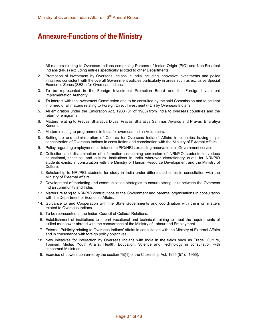# **Annexure-Functions of the Ministry**

- 1. All matters relating to Overseas Indians comprising Persons of Indian Origin (PIO) and NonResident Indians (NRIs) excluding entries specifically allotted to other Departments.
- 2. Promotion of investment by Overseas Indians in India including innovative investments and policy initiatives consistent with the overall Government policies particularly in areas such as exclusive Special Economic Zones (SEZs) for Overseas Indians.
- 3. To be represented in the Foreign Investment Promotion Board and the Foreign Investment Implementation Authority.
- 4. To interact with the Investment Commission and to be consulted by the said Commission and to be kept informed of all matters relating to Foreign Direct Investment (FDI) by Overseas Indians.
- 5. All emigration under the Emigration Act, 1983 (31 of 1983) from India to overseas countries and the return of emigrants.
- 6. Matters relating to Pravasi Bharatiya Divas, Pravasi Bharatiya Samman Awards and Pravasi Bharatiya Kendra.
- 7. Matters relating to programmes in India for overseas Indian Volunteers.
- 8. Setting up and administration of Centres for Overseas Indians' Affairs in countries having major concentration of Overseas Indians in consultation and coordination with the Ministry of External Affairs.
- 9. Policy regarding employment assistance to PIO/NRIs excluding reservations in Government service.
- 10. Collection and dissemination of information concerning admission of NRI/PIO students to various educational, technical and cultural institutions in India wherever discretionary quota for NRI/PIO students exists, in consultation with the Ministry of Human Resource Development and the Ministry of Culture.
- 11. Scholarship to NRI/PIO students for study in India under different schemes in consultation with the Ministry of External Affairs.
- 12. Development of marketing and communication strategies to ensure strong links between the Overseas Indian community and India.
- 13. Matters relating to NRI/PIO contributions to the Government and parental organisations in consultation with the Department of Economic Affairs.
- 14. Guidance to and Cooperation with the State Governments and coordination with them on matters related to Overseas Indians.
- 15. To be represented in the Indian Council of Cultural Relations.
- 16. Establishment of institutions to impart vocational and technical training to meet the requirements of skilled manpower abroad with the concurrence of the Ministry of Labour and Employment.
- 17. External Publicity relating to Overseas Indians' affairs in consultation with the Ministry of External Affairs and in consonance with foreign policy objectives.
- 18. New initiatives for interaction by Overseas Indians with India in the fields such as Trade, Culture, Tourism, Media, Youth Affairs, Health, Education, Science and Technology in consultation with concerned Ministries.
- 19. Exercise of powers conferred by the section 7B(1) of the Citizenship Act, 1955 (57 of 1955).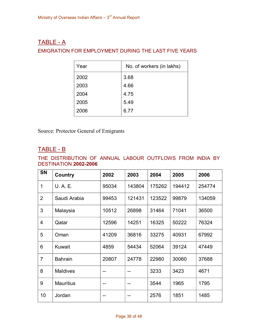### $TABLE - A$

### EMIGRATION FOR EMPLOYMENT DURING THE LAST FIVE YEARS

| Year | No. of workers (in lakhs) |
|------|---------------------------|
| 2002 | 3.68                      |
| 2003 | 4.66                      |
| 2004 | 4.75                      |
| 2005 | 5.49                      |
| 2006 | 6.77                      |

Source: Protector General of Emigrants

### $TABLE - B$

THE DISTRIBUTION OF ANNUAL LABOUR OUTFLOWS FROM INDIA BY **DESTINATION 2002-2006** 

| <b>SN</b>      | Country          | 2002  | 2003   | 2004   | 2005   | 2006   |
|----------------|------------------|-------|--------|--------|--------|--------|
| 1              | U. A. E.         | 95034 | 143804 | 175262 | 194412 | 254774 |
| $\overline{2}$ | Saudi Arabia     | 99453 | 121431 | 123522 | 99879  | 134059 |
| 3              | Malaysia         | 10512 | 26898  | 31464  | 71041  | 36500  |
| $\overline{4}$ | Qatar            | 12596 | 14251  | 16325  | 50222  | 76324  |
| 5              | Oman             | 41209 | 36816  | 33275  | 40931  | 67992  |
| 6              | Kuwait           | 4859  | 54434  | 52064  | 39124  | 47449  |
| $\overline{7}$ | <b>Bahrain</b>   | 20807 | 24778  | 22980  | 30060  | 37688  |
| 8              | <b>Maldives</b>  | --    | --     | 3233   | 3423   | 4671   |
| 9              | <b>Mauritius</b> | --    |        | 3544   | 1965   | 1795   |
| 10             | Jordan           |       |        | 2576   | 1851   | 1485   |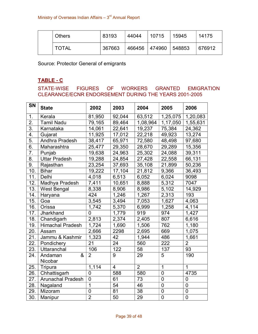| <b>Others</b> | 83193  | 44044 | 10715                | 15945 | 14175  |
|---------------|--------|-------|----------------------|-------|--------|
| <b>TOTAL</b>  | 367663 |       | 466456 474960 548853 |       | 676912 |

Source: Protector General of emigrants

### **TABLE C**

STATE-WISE FIGURES OF WORKERS GRANTED EMIGRATION CLEARANCE/ECNR ENDORSEMENT DURING THE YEARS 2001-2005

| <b>SN</b>        | <b>State</b>             | 2002           | 2003            | 2004           | 2005           | 2006           |
|------------------|--------------------------|----------------|-----------------|----------------|----------------|----------------|
| 1.               | Kerala                   | 81,950         | 92,044          | 63,512         | 1,25,075       | 1,20,083       |
| 2.               | <b>Tamil Nadu</b>        | 79,165         | 89,464          | 1,08,964       | 1,17,050       | 1,55,631       |
| $\overline{3}$ . | Karnataka                | 14,061         | 22,641          | 19,237         | 75,384         | 24,362         |
| 4.               | Gujarat                  | 11,925         | 17,012          | 22,218         | 49,923         | 13,274         |
| $\overline{5}$ . | Andhra Pradesh           | 38,417         | 65,971          | 72,580         | 48,498         | 97,680         |
| 6.               | Maharashtra              | 25,477         | 29,350          | 28,670         | 29,289         | 15,356         |
| $\overline{7}$ . | Punjab                   | 19,638         | 24,963          | 25,302         | 24,088         | 39,311         |
| 8.               | <b>Uttar Pradesh</b>     | 19,288         | 24,854          | 27,428         | 22,558         | 66,131         |
| 9.               | Rajasthan                | 23,254         | 37,693          | 35,108         | 21,899         | 50,236         |
| 10.              | <b>Bihar</b>             | 19,222         | 17,104          | 21,812         | 9,366          | 36,493         |
| 11.              | Delhi                    | 4,018          | 6,513           | 6,052          | 6,024          | 9098           |
| 12.              | Madhya Pradesh           | 7,411          | 10,651          | 8,888          | 5,312          | 7047           |
| 13.              | West Bengal              | 8,338          | 8,906           | 8,986          | 5,102          | 14,929         |
| 14.              | Haryana                  | 424            | 1,246           | 1,267          | 2,313          | 193            |
| 15.              | Goa                      | 3,545          | 3,494           | 7,053          | 1,627          | 4,063          |
| 16.              | Orissa                   | 1,742          | 5,370           | 6,999          | 1,258          | 4,114          |
| 17.              | Jharkhand                | 0              | 1,779           | 919            | 974            | 1,427          |
| 18.              | Chandigarh               | 2,813          | 2,374           | 2,405          | 807            | 6,616          |
| 19.              | <b>Himachal Pradesh</b>  | 1,724          | 1,690           | 1,506          | 762            | 1,180          |
| 20.              | Assam                    | 2,666          | 2298            | 2,695          | 669            | 1,075          |
| 21.              | Jammu & Kashmir          | 1,323          | 42              | 1,944          | 486            | 1,661          |
| 22.              | Pondichery               | 21             | 24              | 560            | 222            | $\overline{2}$ |
| 23.              | <b>Uttaranchal</b>       | 106            | 122             | 58             | 137            | 93             |
| 24.              | &<br>Andaman<br>Nicobar  | $\overline{2}$ | 9               | 29             | 5              | 190            |
| 25.              | Tripura                  | 1,114          | $\overline{4}$  | $\overline{2}$ | $\overline{1}$ | $\mathbf{1}$   |
| 26.              | Chhattisgarh             | $\overline{0}$ | 588             | 580            | $\mathbf 0$    | 4735           |
| 27.              | <b>Arunachal Pradesh</b> | $\overline{0}$ | 61              | 73             | $\mathbf 0$    | $\overline{0}$ |
| 28.              | Nagaland                 | 1              | $\overline{54}$ | 46             | $\mathbf 0$    | $\overline{0}$ |
| 29.              | Mizoram                  | $\overline{0}$ | 81              | 38             | $\mathbf 0$    | $\pmb{0}$      |
| 30.              | Manipur                  | $\overline{2}$ | 50              | 29             | $\mathbf 0$    | $\overline{0}$ |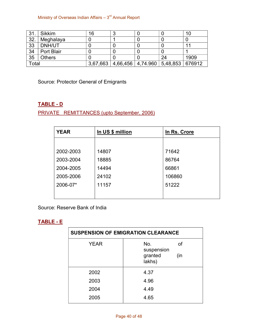Ministry of Overseas Indian Affairs - 3<sup>rd</sup> Annual Report

| 31.   | Sikkim        | 16       |                                         |    | 10   |
|-------|---------------|----------|-----------------------------------------|----|------|
| 32.   | Meghalaya     |          |                                         |    |      |
| 33    | DNH/UT        |          |                                         |    | 11   |
| 34    | Port Blair    |          |                                         |    |      |
| 35    | <b>Others</b> |          |                                         | 24 | 1909 |
| Total |               | 3,67,663 | 4,66,456   4,74.960   5,48,853   676912 |    |      |

Source: Protector General of Emigrants

### **TABLE - D**

PRIVATE REMITTANCES (upto September, 2006)

| <b>YEAR</b> | In US \$ million | In Rs. Crore |
|-------------|------------------|--------------|
|             |                  |              |
| 2002-2003   | 14807            | 71642        |
| 2003-2004   | 18885            | 86764        |
| 2004-2005   | 14494            | 66861        |
| 2005-2006   | 24102            | 106860       |
| 2006-07*    | 11157            | 51222        |
|             |                  |              |

Source: Reserve Bank of India

### **TABLE E**

| <b>SUSPENSION OF EMIGRATION CLEARANCE</b> |                          |  |  |  |  |
|-------------------------------------------|--------------------------|--|--|--|--|
| <b>YEAR</b>                               | οf<br>No.<br>suspension  |  |  |  |  |
|                                           | granted<br>(in<br>lakhs) |  |  |  |  |
| 2002                                      | 4.37                     |  |  |  |  |
| 2003                                      | 4.96                     |  |  |  |  |
| 2004                                      | 4.49                     |  |  |  |  |
| 2005                                      | 4.65                     |  |  |  |  |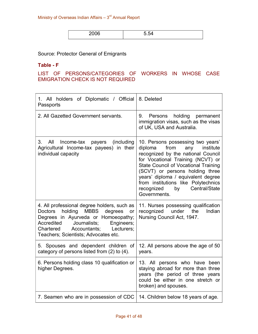| <b>OOOC</b> | $\overline{\phantom{0}}$ |
|-------------|--------------------------|
| ----        | ືບ.ບ−                    |
|             |                          |
|             |                          |

Source: Protector General of Emigrants

#### **Table F**

### LIST OF PERSONS/CATEGORIES OF WORKERS IN WHOSE CASE EMIGRATION CHECK IS NOT REQUIRED

| 1. All holders of Diplomatic / Official 8. Deleted<br>Passports                                                                                                                                                                                                                       |                                                                                                                                                                                                                                                                                                                                                                         |
|---------------------------------------------------------------------------------------------------------------------------------------------------------------------------------------------------------------------------------------------------------------------------------------|-------------------------------------------------------------------------------------------------------------------------------------------------------------------------------------------------------------------------------------------------------------------------------------------------------------------------------------------------------------------------|
| 2. All Gazetted Government servants.                                                                                                                                                                                                                                                  | holding permanent<br>9.<br>Persons<br>immigration visas, such as the visas<br>of UK, USA and Australia.                                                                                                                                                                                                                                                                 |
| 3.<br>All<br>(including<br>Income-tax<br>payers<br>Agricultural Income-tax payees) in their<br>individual capacity                                                                                                                                                                    | 10. Persons possessing two years'<br>from<br>diploma<br>any<br>institute<br>recognized by the national Council<br>for Vocational Training (NCVT) or<br><b>State Council of Vocational Training</b><br>(SCVT) or persons holding three<br>years' diploma / equivalent degree<br>from institutions like Polytechnics<br>recognized<br>Central/State<br>by<br>Governments. |
| 4. All professional degree holders, such as<br>holding<br><b>MBBS</b><br>degrees<br><b>Doctors</b><br><b>or</b><br>Degrees in Ayurveda or Homoeopathy;<br>Journalists;<br>Accredited<br>Engineers;<br>Accountants;<br>Chartered<br>Lecturers;<br>Teachers, Scientists; Advocates etc. | 11. Nurses possessing qualification<br>recognized<br>under<br>the<br>Indian<br>Nursing Council Act, 1947.                                                                                                                                                                                                                                                               |
| 5. Spouses and dependent children of<br>category of persons listed from (2) to (4).                                                                                                                                                                                                   | 12. All persons above the age of 50<br>years.                                                                                                                                                                                                                                                                                                                           |
| 6. Persons holding class 10 qualification or<br>higher Degrees.                                                                                                                                                                                                                       | 13. All persons who have been<br>staying abroad for more than three<br>years (the period of three years<br>could be either in one stretch or<br>broken) and spouses.                                                                                                                                                                                                    |
| 7. Seamen who are in possession of CDC                                                                                                                                                                                                                                                | 14. Children below 18 years of age.                                                                                                                                                                                                                                                                                                                                     |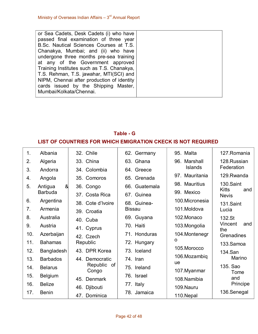| or Sea Cadets, Desk Cadets (i) who have    |  |
|--------------------------------------------|--|
| passed final examination of three year     |  |
| B.Sc. Nautical Sciences Courses at T.S.    |  |
| Chanakya, Mumbai; and (ii) who have        |  |
| undergone three months pre-sea training    |  |
| at any of the Government approved          |  |
| Training Institutes such as T.S. Chanakya, |  |
| T.S. Rehman, T.S. jawahar, MTI(SCI) and    |  |
| NIPM, Chennai after production of identity |  |
| cards issued by the Shipping Master,       |  |
| Mumbai/Kolkata/Chennai.                    |  |

# **Table G LIST OF COUNTRIES FOR WHICH EMIGRATION CKECK IS NOT REQUIRED**

| 1.  | Albania         | 32. Chile                    | 62. Germany   | 95. Malta          | 127. Romania                        |
|-----|-----------------|------------------------------|---------------|--------------------|-------------------------------------|
| 2.  | Algeria         | 33. China                    | 63. Ghana     | 96. Marshall       | 128.Russian                         |
| 3.  | Andorra         | 34. Colombia                 | 64. Greece    | <b>Islands</b>     | Federation                          |
| 4.  | Angola          | 35. Comoros                  | 65. Grenada   | 97. Mauritania     | 129.Rwanda                          |
| 5.  | &<br>Antigua    | 36. Congo                    | 66. Guatemala | 98. Mauritius      | 130.Saint                           |
|     | <b>Barbuda</b>  | 37. Costa Rica               | 67. Guinea    | 99. Mexico         | <b>Kitts</b><br>and<br><b>Nevis</b> |
| 6.  | Argentina       | 38. Cote d'Ivoire            | 68. Guinea-   | 100.Micronesia     | 131.Saint                           |
| 7.  | Armenia         | 39. Croatia                  | <b>Bissau</b> | 101.Moldova        | Lucia                               |
| 8.  | Australia       | 40. Cuba                     | 69. Guyana    | 102.Monaco         | 132.St                              |
| 9.  | Austria         | 41. Cyprus                   | 70. Haiti     | 103.Mongolia       | Vincent<br>and<br>the               |
| 10. | Azerbaijan      | 42. Czech                    | 71. Honduras  | 104. Montenegr     | Grenadines                          |
| 11. | <b>Bahamas</b>  | Republic                     | 72. Hungary   | O                  | 133.Samoa                           |
| 12. | Bangladesh      | 43. DPR Korea                | 73. Iceland   | 105.Morocco        | 134.San                             |
| 13. | <b>Barbados</b> | 44. Democratic               | 74. Iran      | 106.Mozambiq<br>ue | Marino                              |
| 14. | <b>Belarus</b>  | Republic of                  | 75. Ireland   | 107. Myanmar       | 135. Sao                            |
| 15. | <b>Belgium</b>  | Congo<br>45. Denmark         | 76. Israel    | 108.Namibia        | Tome<br>and                         |
| 16. | <b>Belize</b>   |                              | 77. Italy     | 109.Nauru          | Principe                            |
| 17. | <b>Benin</b>    | 46. Djibouti<br>47. Dominica | 78. Jamaica   | 110.Nepal          | 136.Senegal                         |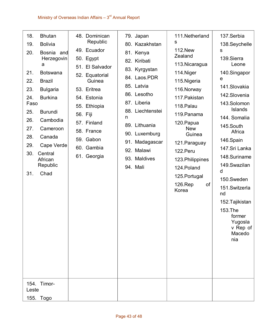| 18.<br><b>Bhutan</b><br>19.<br><b>Bolivia</b><br>20.<br>Bosnia and<br>Herzegovin<br>a<br>21.<br><b>Botswana</b><br>22.<br><b>Brazil</b><br>23.<br><b>Bulgaria</b><br><b>Burkina</b><br>24.<br>Faso<br>25.<br><b>Burundi</b><br>26.<br>Cambodia<br>27.<br>Cameroon<br>28.<br>Canada<br>29.<br>Cape Verde<br>30.<br>Central<br>African<br>Republic<br>Chad<br>31. | 48. Dominican<br>Republic<br>49. Ecuador<br>50. Egypt<br>51. El Salvador<br>52. Equatorial<br>Guinea<br>53. Eritrea<br>54. Estonia<br>55. Ethiopia<br>56. Fiji<br>57. Finland<br>58. France<br>59. Gabon<br>60. Gambia<br>61. Georgia | 79. Japan<br>80. Kazakhstan<br>81. Kenya<br>82. Kiribati<br>83. Kyrgystan<br>84. Laos.PDR<br>85. Latvia<br>86. Lesotho<br>87. Liberia<br>88. Liechtenstei<br>n<br>89. Lithuania<br>90. Luxemburg<br>91. Madagascar<br>92. Malawi<br>93. Maldives<br>94. Mali | 111.Netherland<br>s<br><b>112.New</b><br>Zealand<br>113. Nicaragua<br>114. Niger<br>115. Nigeria<br>116. Norway<br>117. Pakistan<br>118. Palau<br>119. Panama<br>120. Papua<br><b>New</b><br>Guinea<br>121. Paraguay<br>122.Peru<br>123. Philippines<br>124. Poland<br>125. Portugal<br>of<br>126.Rep<br>Korea | 137. Serbia<br>138. Seychelle<br>S<br>139.Sierra<br>Leone<br>140.Singapor<br>e<br>141.Slovakia<br>142.Slovenia<br>143.Solomon<br>Islands<br>144. Somalia<br>145.South<br>Africa<br>146.Spain<br>147.Sri Lanka<br>148.Suriname<br>149. Swazilan<br>d<br>150.Sweden<br>151. Switzerla<br>nd<br>152. Tajikistan<br>153.The<br>former<br>Yugosla<br>v Rep of<br>Macedo<br>nia |
|-----------------------------------------------------------------------------------------------------------------------------------------------------------------------------------------------------------------------------------------------------------------------------------------------------------------------------------------------------------------|---------------------------------------------------------------------------------------------------------------------------------------------------------------------------------------------------------------------------------------|--------------------------------------------------------------------------------------------------------------------------------------------------------------------------------------------------------------------------------------------------------------|----------------------------------------------------------------------------------------------------------------------------------------------------------------------------------------------------------------------------------------------------------------------------------------------------------------|---------------------------------------------------------------------------------------------------------------------------------------------------------------------------------------------------------------------------------------------------------------------------------------------------------------------------------------------------------------------------|
| 154. Timor-<br>Leste<br>155. Togo                                                                                                                                                                                                                                                                                                                               |                                                                                                                                                                                                                                       |                                                                                                                                                                                                                                                              |                                                                                                                                                                                                                                                                                                                |                                                                                                                                                                                                                                                                                                                                                                           |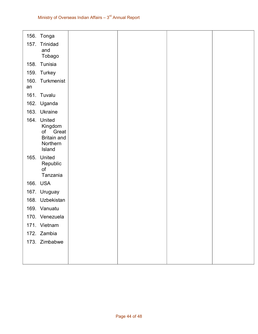|            | 156. Tonga             |  |  |
|------------|------------------------|--|--|
| 157.       | Trinidad               |  |  |
|            | and                    |  |  |
|            | Tobago                 |  |  |
|            | 158. Tunisia           |  |  |
|            | 159. Turkey            |  |  |
| 160.<br>an | Turkmenist             |  |  |
|            | 161. Tuvalu            |  |  |
|            | 162. Uganda            |  |  |
|            | 163. Ukraine           |  |  |
|            | 164. United            |  |  |
|            | Kingdom<br>Great<br>of |  |  |
|            | <b>Britain and</b>     |  |  |
|            | Northern               |  |  |
|            | Island                 |  |  |
| 165.       | United                 |  |  |
|            | Republic<br>of         |  |  |
|            | Tanzania               |  |  |
|            | 166. USA               |  |  |
|            | 167. Uruguay           |  |  |
|            | 168. Uzbekistan        |  |  |
|            | 169. Vanuatu           |  |  |
|            | 170. Venezuela         |  |  |
|            | 171. Vietnam           |  |  |
|            | 172. Zambia            |  |  |
|            | 173. Zimbabwe          |  |  |
|            |                        |  |  |
|            |                        |  |  |
|            |                        |  |  |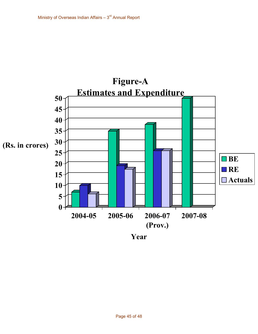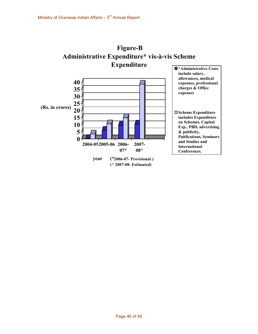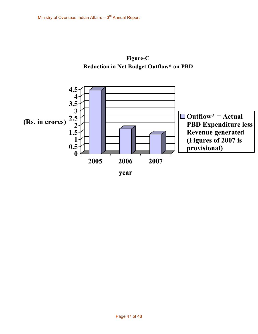

Figure-C **Reduction in Net Budget Outflow\* on PBD**